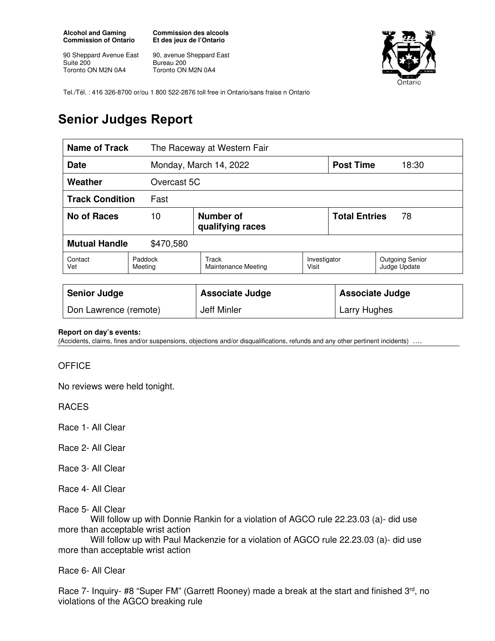**Alcohol and Gaming Commission of Ontario** 

90 Sheppard Avenue East Suite 200 Toronto ON M2N 0A4

**Commission des alcools Et des jeux de l'Ontario** 

90, avenue Sheppard East Bureau 200 Toronto ON M2N 0A4



Tel./Tél. : 416 326-8700 or/ou 1 800 522-2876 toll free in Ontario/sans fraise n Ontario

## **Senior Judges Report**

| <b>Name of Track</b>              |                    | The Raceway at Western Fair         |                       |                            |                                        |
|-----------------------------------|--------------------|-------------------------------------|-----------------------|----------------------------|----------------------------------------|
| <b>Date</b>                       |                    | Monday, March 14, 2022              |                       | <b>Post Time</b>           | 18:30                                  |
| Weather                           | Overcast 5C        |                                     |                       |                            |                                        |
| <b>Track Condition</b><br>Fast    |                    |                                     |                       |                            |                                        |
| No of Races                       | 10                 | Number of<br>qualifying races       |                       | <b>Total Entries</b><br>78 |                                        |
| <b>Mutual Handle</b><br>\$470,580 |                    |                                     |                       |                            |                                        |
| Contact<br>Vet                    | Paddock<br>Meeting | <b>Track</b><br>Maintenance Meeting | Investigator<br>Visit |                            | <b>Outgoing Senior</b><br>Judge Update |
|                                   |                    |                                     |                       |                            |                                        |
| <b>Senior Judge</b>               |                    | <b>Associate Judge</b>              |                       | <b>Associate Judge</b>     |                                        |
| Don Lawrence (remote)             |                    | Jeff Minler                         |                       | Larry Hughes               |                                        |

## **Report on day's events:**

(Accidents, claims, fines and/or suspensions, objections and/or disqualifications, refunds and any other pertinent incidents) ….

## **OFFICE**

No reviews were held tonight.

RACES

Race 1- All Clear

Race 2- All Clear

Race 3- All Clear

Race 4- All Clear

Race 5- All Clear

 Will follow up with Donnie Rankin for a violation of AGCO rule 22.23.03 (a)- did use more than acceptable wrist action

 Will follow up with Paul Mackenzie for a violation of AGCO rule 22.23.03 (a)- did use more than acceptable wrist action

Race 6- All Clear

Race 7- Inquiry- #8 "Super FM" (Garrett Rooney) made a break at the start and finished 3<sup>rd</sup>, no violations of the AGCO breaking rule